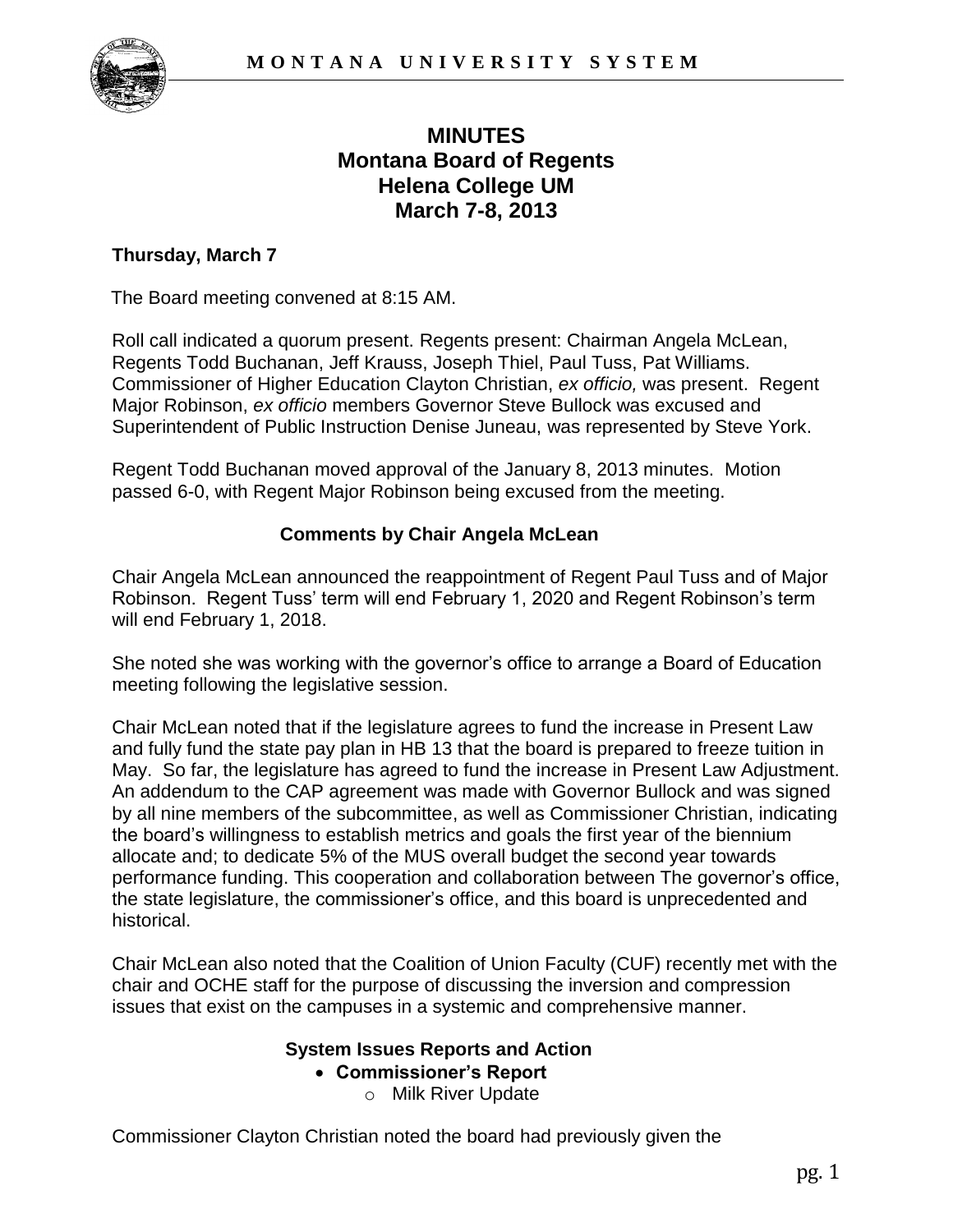

# **MINUTES Montana Board of Regents Helena College UM March 7-8, 2013**

## **Thursday, March 7**

The Board meeting convened at 8:15 AM.

Roll call indicated a quorum present. Regents present: Chairman Angela McLean, Regents Todd Buchanan, Jeff Krauss, Joseph Thiel, Paul Tuss, Pat Williams. Commissioner of Higher Education Clayton Christian, *ex officio,* was present. Regent Major Robinson, *ex officio* members Governor Steve Bullock was excused and Superintendent of Public Instruction Denise Juneau, was represented by Steve York.

Regent Todd Buchanan moved approval of the January 8, 2013 minutes. Motion passed 6-0, with Regent Major Robinson being excused from the meeting.

# **Comments by Chair Angela McLean**

Chair Angela McLean announced the reappointment of Regent Paul Tuss and of Major Robinson. Regent Tuss' term will end February 1, 2020 and Regent Robinson's term will end February 1, 2018.

She noted she was working with the governor's office to arrange a Board of Education meeting following the legislative session.

Chair McLean noted that if the legislature agrees to fund the increase in Present Law and fully fund the state pay plan in HB 13 that the board is prepared to freeze tuition in May. So far, the legislature has agreed to fund the increase in Present Law Adjustment. An addendum to the CAP agreement was made with Governor Bullock and was signed by all nine members of the subcommittee, as well as Commissioner Christian, indicating the board's willingness to establish metrics and goals the first year of the biennium allocate and; to dedicate 5% of the MUS overall budget the second year towards performance funding. This cooperation and collaboration between The governor's office, the state legislature, the commissioner's office, and this board is unprecedented and historical.

Chair McLean also noted that the Coalition of Union Faculty (CUF) recently met with the chair and OCHE staff for the purpose of discussing the inversion and compression issues that exist on the campuses in a systemic and comprehensive manner.

#### **System Issues Reports and Action**

**Commissioner's Report** 

o Milk River Update

Commissioner Clayton Christian noted the board had previously given the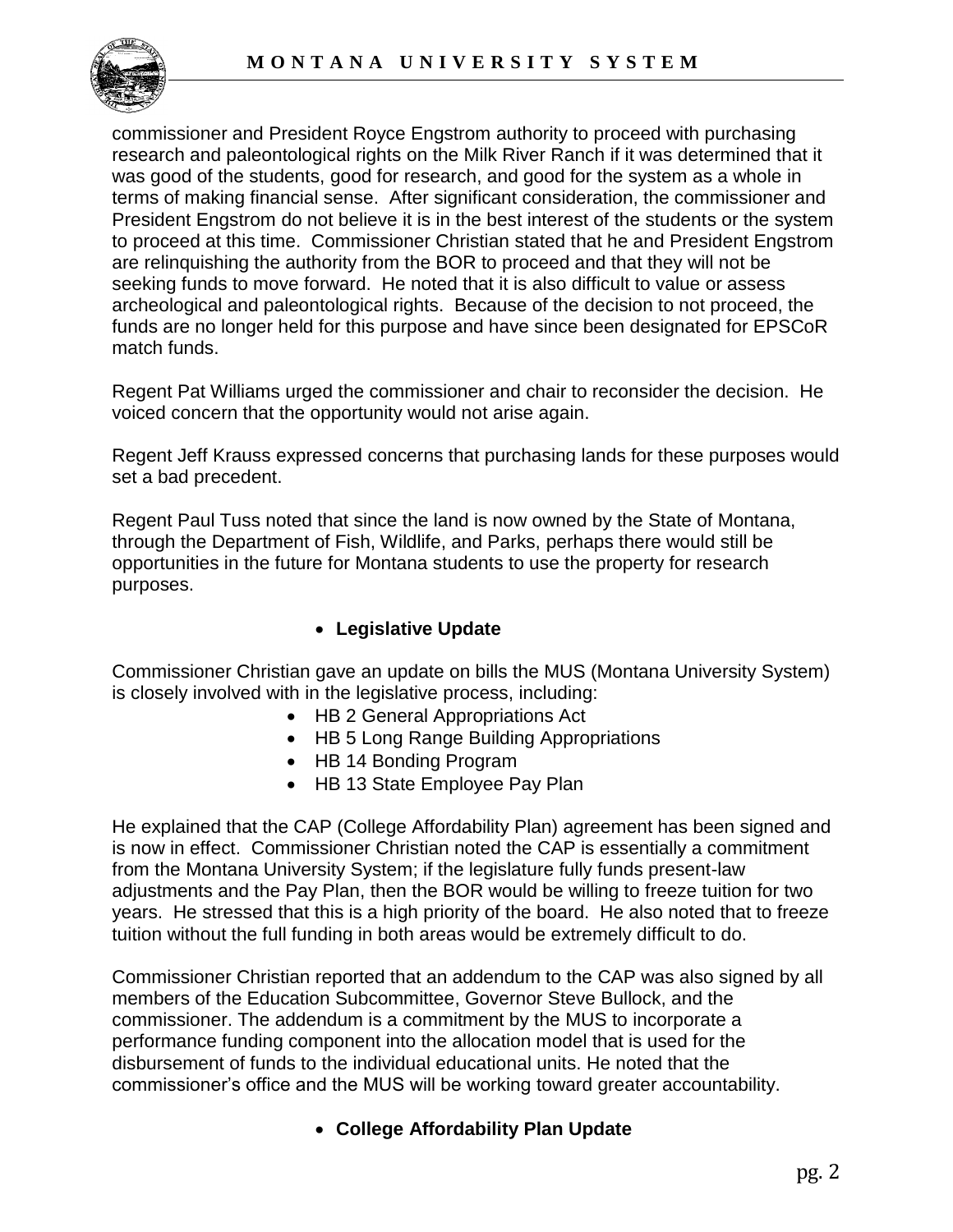

commissioner and President Royce Engstrom authority to proceed with purchasing research and paleontological rights on the Milk River Ranch if it was determined that it was good of the students, good for research, and good for the system as a whole in terms of making financial sense. After significant consideration, the commissioner and President Engstrom do not believe it is in the best interest of the students or the system to proceed at this time. Commissioner Christian stated that he and President Engstrom are relinquishing the authority from the BOR to proceed and that they will not be seeking funds to move forward. He noted that it is also difficult to value or assess archeological and paleontological rights. Because of the decision to not proceed, the funds are no longer held for this purpose and have since been designated for EPSCoR match funds.

Regent Pat Williams urged the commissioner and chair to reconsider the decision. He voiced concern that the opportunity would not arise again.

Regent Jeff Krauss expressed concerns that purchasing lands for these purposes would set a bad precedent.

Regent Paul Tuss noted that since the land is now owned by the State of Montana, through the Department of Fish, Wildlife, and Parks, perhaps there would still be opportunities in the future for Montana students to use the property for research purposes.

# **Legislative Update**

Commissioner Christian gave an update on bills the MUS (Montana University System) is closely involved with in the legislative process, including:

- HB 2 General Appropriations Act
- HB 5 Long Range Building Appropriations
- HB 14 Bonding Program
- HB 13 State Employee Pay Plan

He explained that the CAP (College Affordability Plan) agreement has been signed and is now in effect. Commissioner Christian noted the CAP is essentially a commitment from the Montana University System; if the legislature fully funds present-law adjustments and the Pay Plan, then the BOR would be willing to freeze tuition for two years. He stressed that this is a high priority of the board. He also noted that to freeze tuition without the full funding in both areas would be extremely difficult to do.

Commissioner Christian reported that an addendum to the CAP was also signed by all members of the Education Subcommittee, Governor Steve Bullock, and the commissioner. The addendum is a commitment by the MUS to incorporate a performance funding component into the allocation model that is used for the disbursement of funds to the individual educational units. He noted that the commissioner's office and the MUS will be working toward greater accountability.

# **College Affordability Plan Update**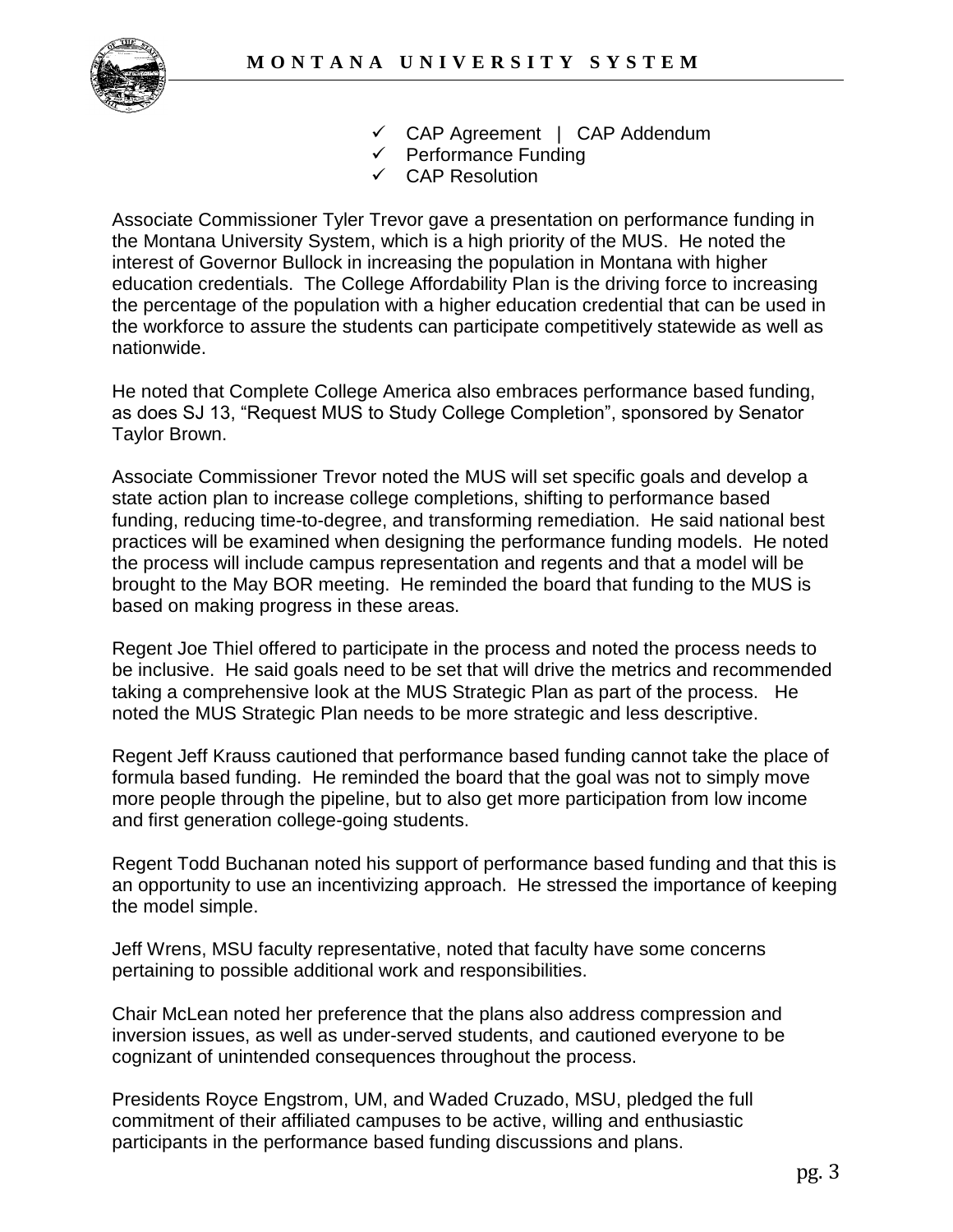

- CAP Agreement | CAP Addendum
- $\checkmark$  Performance Funding
- CAP Resolution

Associate Commissioner Tyler Trevor gave a presentation on performance funding in the Montana University System, which is a high priority of the MUS. He noted the interest of Governor Bullock in increasing the population in Montana with higher education credentials. The College Affordability Plan is the driving force to increasing the percentage of the population with a higher education credential that can be used in the workforce to assure the students can participate competitively statewide as well as nationwide.

He noted that Complete College America also embraces performance based funding, as does SJ 13, "Request MUS to Study College Completion", sponsored by Senator Taylor Brown.

Associate Commissioner Trevor noted the MUS will set specific goals and develop a state action plan to increase college completions, shifting to performance based funding, reducing time-to-degree, and transforming remediation. He said national best practices will be examined when designing the performance funding models. He noted the process will include campus representation and regents and that a model will be brought to the May BOR meeting. He reminded the board that funding to the MUS is based on making progress in these areas.

Regent Joe Thiel offered to participate in the process and noted the process needs to be inclusive. He said goals need to be set that will drive the metrics and recommended taking a comprehensive look at the MUS Strategic Plan as part of the process. He noted the MUS Strategic Plan needs to be more strategic and less descriptive.

Regent Jeff Krauss cautioned that performance based funding cannot take the place of formula based funding. He reminded the board that the goal was not to simply move more people through the pipeline, but to also get more participation from low income and first generation college-going students.

Regent Todd Buchanan noted his support of performance based funding and that this is an opportunity to use an incentivizing approach. He stressed the importance of keeping the model simple.

Jeff Wrens, MSU faculty representative, noted that faculty have some concerns pertaining to possible additional work and responsibilities.

Chair McLean noted her preference that the plans also address compression and inversion issues, as well as under-served students, and cautioned everyone to be cognizant of unintended consequences throughout the process.

Presidents Royce Engstrom, UM, and Waded Cruzado, MSU, pledged the full commitment of their affiliated campuses to be active, willing and enthusiastic participants in the performance based funding discussions and plans.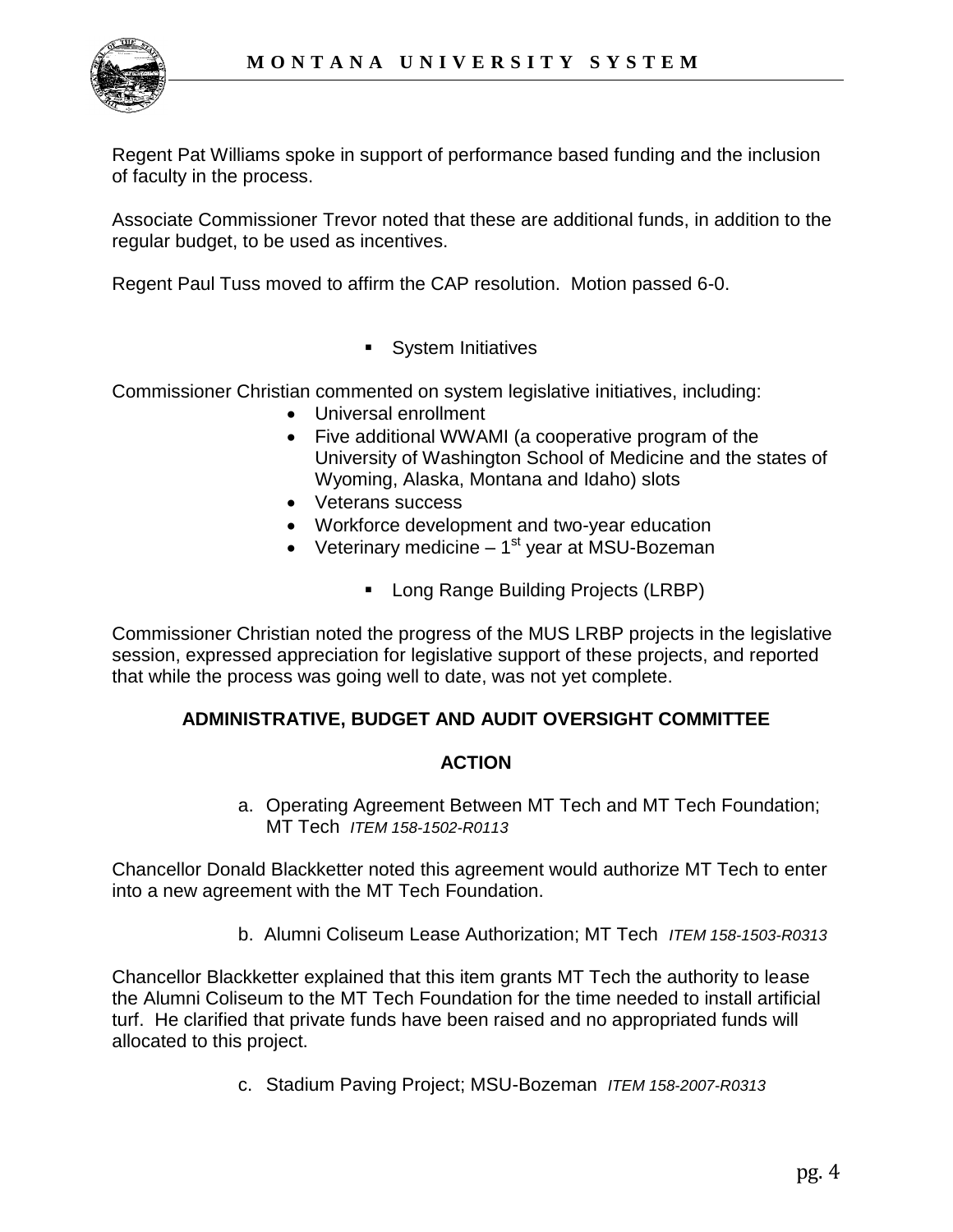

Regent Pat Williams spoke in support of performance based funding and the inclusion of faculty in the process.

Associate Commissioner Trevor noted that these are additional funds, in addition to the regular budget, to be used as incentives.

Regent Paul Tuss moved to affirm the CAP resolution. Motion passed 6-0.

**System Initiatives** 

Commissioner Christian commented on system legislative initiatives, including:

- Universal enrollment
- Five additional WWAMI (a cooperative program of the University of Washington School of Medicine and the states of Wyoming, Alaska, Montana and Idaho) slots
- Veterans success
- Workforce development and two-year education
- Veterinary medicine  $-1<sup>st</sup>$  year at MSU-Bozeman
	- **Long Range Building Projects (LRBP)**

Commissioner Christian noted the progress of the MUS LRBP projects in the legislative session, expressed appreciation for legislative support of these projects, and reported that while the process was going well to date, was not yet complete.

#### **ADMINISTRATIVE, BUDGET AND AUDIT OVERSIGHT COMMITTEE**

#### **ACTION**

a. Operating Agreement Between MT Tech and MT Tech Foundation; MT Tech *ITEM 158-1502-R0113* 

Chancellor Donald Blackketter noted this agreement would authorize MT Tech to enter into a new agreement with the MT Tech Foundation.

b. Alumni Coliseum Lease Authorization; MT Tech *ITEM 158-1503-R0313* 

Chancellor Blackketter explained that this item grants MT Tech the authority to lease the Alumni Coliseum to the MT Tech Foundation for the time needed to install artificial turf. He clarified that private funds have been raised and no appropriated funds will allocated to this project.

c. Stadium Paving Project; MSU-Bozeman *ITEM 158-2007-R0313*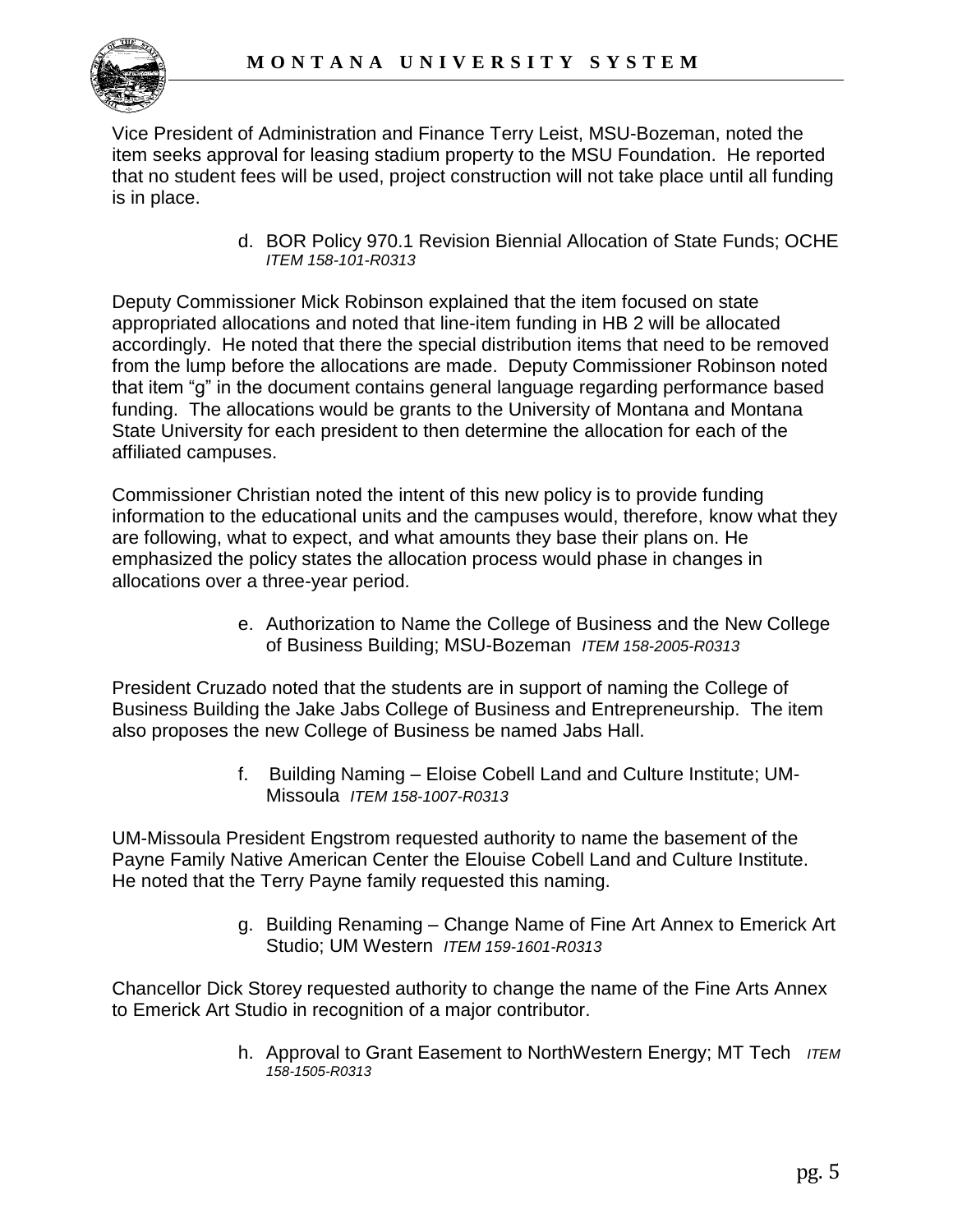

Vice President of Administration and Finance Terry Leist, MSU-Bozeman, noted the item seeks approval for leasing stadium property to the MSU Foundation. He reported that no student fees will be used, project construction will not take place until all funding is in place.

> d. BOR Policy 970.1 Revision Biennial Allocation of State Funds; OCHE *ITEM 158-101-R0313*

Deputy Commissioner Mick Robinson explained that the item focused on state appropriated allocations and noted that line-item funding in HB 2 will be allocated accordingly. He noted that there the special distribution items that need to be removed from the lump before the allocations are made. Deputy Commissioner Robinson noted that item "g" in the document contains general language regarding performance based funding. The allocations would be grants to the University of Montana and Montana State University for each president to then determine the allocation for each of the affiliated campuses.

Commissioner Christian noted the intent of this new policy is to provide funding information to the educational units and the campuses would, therefore, know what they are following, what to expect, and what amounts they base their plans on. He emphasized the policy states the allocation process would phase in changes in allocations over a three-year period.

> e. Authorization to Name the College of Business and the New College of Business Building; MSU-Bozeman *ITEM 158-2005-R0313*

President Cruzado noted that the students are in support of naming the College of Business Building the Jake Jabs College of Business and Entrepreneurship. The item also proposes the new College of Business be named Jabs Hall.

> f. Building Naming – Eloise Cobell Land and Culture Institute; UM-Missoula *ITEM 158-1007-R0313*

UM-Missoula President Engstrom requested authority to name the basement of the Payne Family Native American Center the Elouise Cobell Land and Culture Institute. He noted that the Terry Payne family requested this naming.

> g. Building Renaming – Change Name of Fine Art Annex to Emerick Art Studio; UM Western *ITEM 159-1601-R0313*

Chancellor Dick Storey requested authority to change the name of the Fine Arts Annex to Emerick Art Studio in recognition of a major contributor.

> h. Approval to Grant Easement to NorthWestern Energy; MT Tech *ITEM 158-1505-R0313*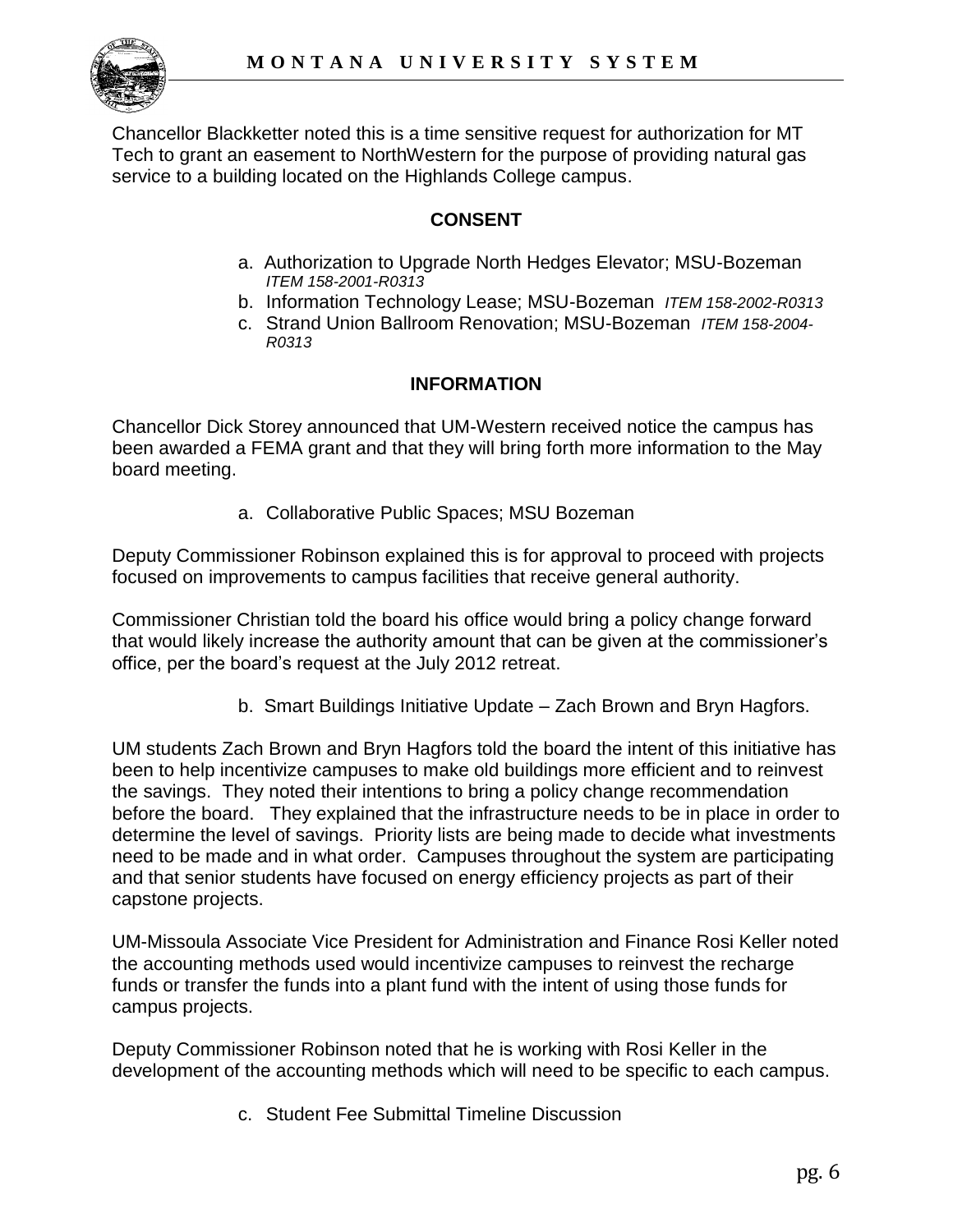

Chancellor Blackketter noted this is a time sensitive request for authorization for MT Tech to grant an easement to NorthWestern for the purpose of providing natural gas service to a building located on the Highlands College campus.

# **CONSENT**

- a. Authorization to Upgrade North Hedges Elevator; MSU-Bozeman *ITEM 158-2001-R0313*
- b. Information Technology Lease; MSU-Bozeman *ITEM 158-2002-R0313*
- c. Strand Union Ballroom Renovation; MSU-Bozeman *ITEM 158-2004- R0313*

# **INFORMATION**

Chancellor Dick Storey announced that UM-Western received notice the campus has been awarded a FEMA grant and that they will bring forth more information to the May board meeting.

a. Collaborative Public Spaces; MSU Bozeman

Deputy Commissioner Robinson explained this is for approval to proceed with projects focused on improvements to campus facilities that receive general authority.

Commissioner Christian told the board his office would bring a policy change forward that would likely increase the authority amount that can be given at the commissioner's office, per the board's request at the July 2012 retreat.

b. Smart Buildings Initiative Update – Zach Brown and Bryn Hagfors.

UM students Zach Brown and Bryn Hagfors told the board the intent of this initiative has been to help incentivize campuses to make old buildings more efficient and to reinvest the savings. They noted their intentions to bring a policy change recommendation before the board. They explained that the infrastructure needs to be in place in order to determine the level of savings. Priority lists are being made to decide what investments need to be made and in what order. Campuses throughout the system are participating and that senior students have focused on energy efficiency projects as part of their capstone projects.

UM-Missoula Associate Vice President for Administration and Finance Rosi Keller noted the accounting methods used would incentivize campuses to reinvest the recharge funds or transfer the funds into a plant fund with the intent of using those funds for campus projects.

Deputy Commissioner Robinson noted that he is working with Rosi Keller in the development of the accounting methods which will need to be specific to each campus.

c. Student Fee Submittal Timeline Discussion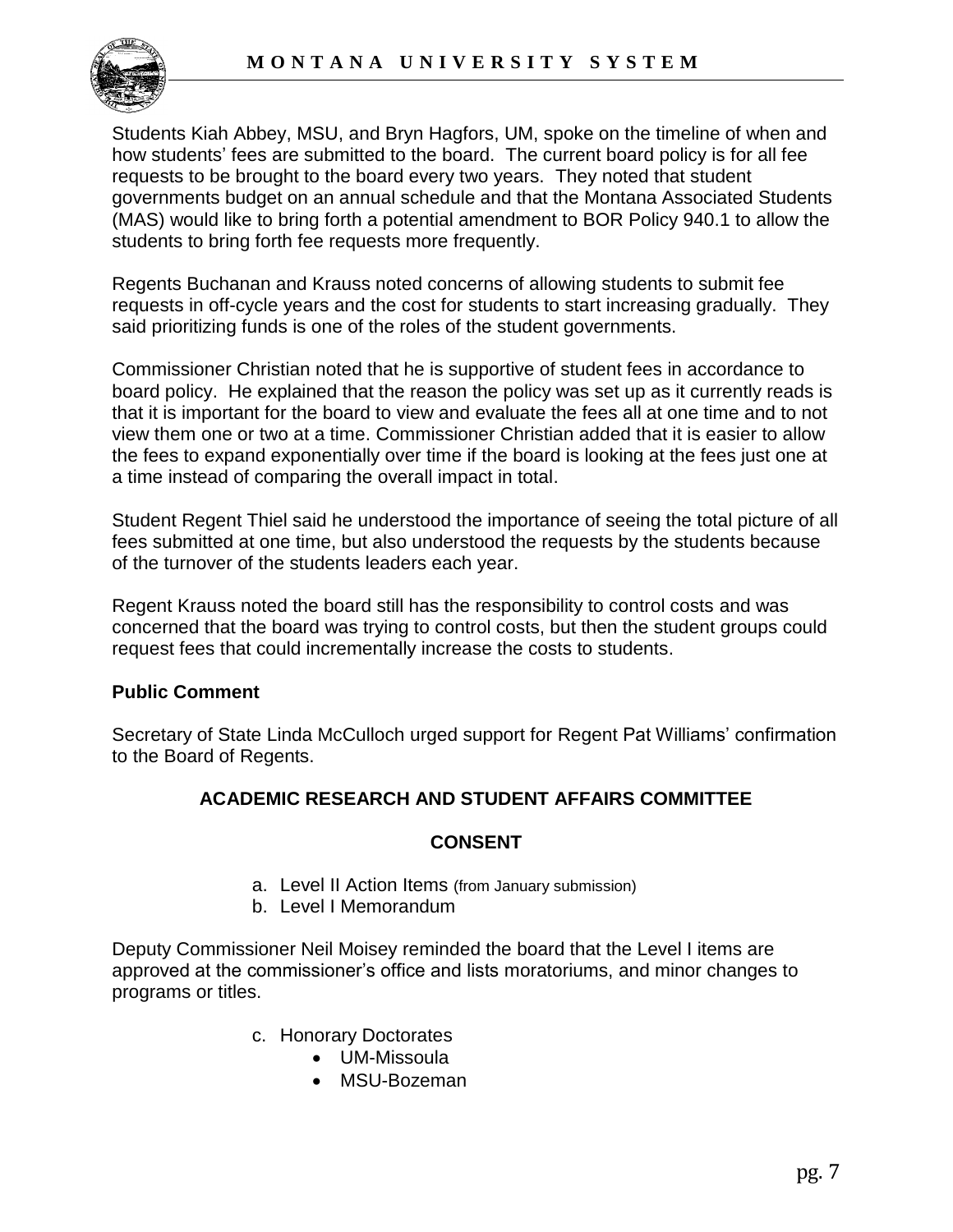

Students Kiah Abbey, MSU, and Bryn Hagfors, UM, spoke on the timeline of when and how students' fees are submitted to the board. The current board policy is for all fee requests to be brought to the board every two years. They noted that student governments budget on an annual schedule and that the Montana Associated Students (MAS) would like to bring forth a potential amendment to BOR Policy 940.1 to allow the students to bring forth fee requests more frequently.

Regents Buchanan and Krauss noted concerns of allowing students to submit fee requests in off-cycle years and the cost for students to start increasing gradually. They said prioritizing funds is one of the roles of the student governments.

Commissioner Christian noted that he is supportive of student fees in accordance to board policy. He explained that the reason the policy was set up as it currently reads is that it is important for the board to view and evaluate the fees all at one time and to not view them one or two at a time. Commissioner Christian added that it is easier to allow the fees to expand exponentially over time if the board is looking at the fees just one at a time instead of comparing the overall impact in total.

Student Regent Thiel said he understood the importance of seeing the total picture of all fees submitted at one time, but also understood the requests by the students because of the turnover of the students leaders each year.

Regent Krauss noted the board still has the responsibility to control costs and was concerned that the board was trying to control costs, but then the student groups could request fees that could incrementally increase the costs to students.

# **Public Comment**

Secretary of State Linda McCulloch urged support for Regent Pat Williams' confirmation to the Board of Regents.

# **ACADEMIC RESEARCH AND STUDENT AFFAIRS COMMITTEE**

# **CONSENT**

- a. Level II Action Items (from January submission)
- b. Level I Memorandum

Deputy Commissioner Neil Moisey reminded the board that the Level I items are approved at the commissioner's office and lists moratoriums, and minor changes to programs or titles.

- c. Honorary Doctorates
	- UM-Missoula
	- MSU-Bozeman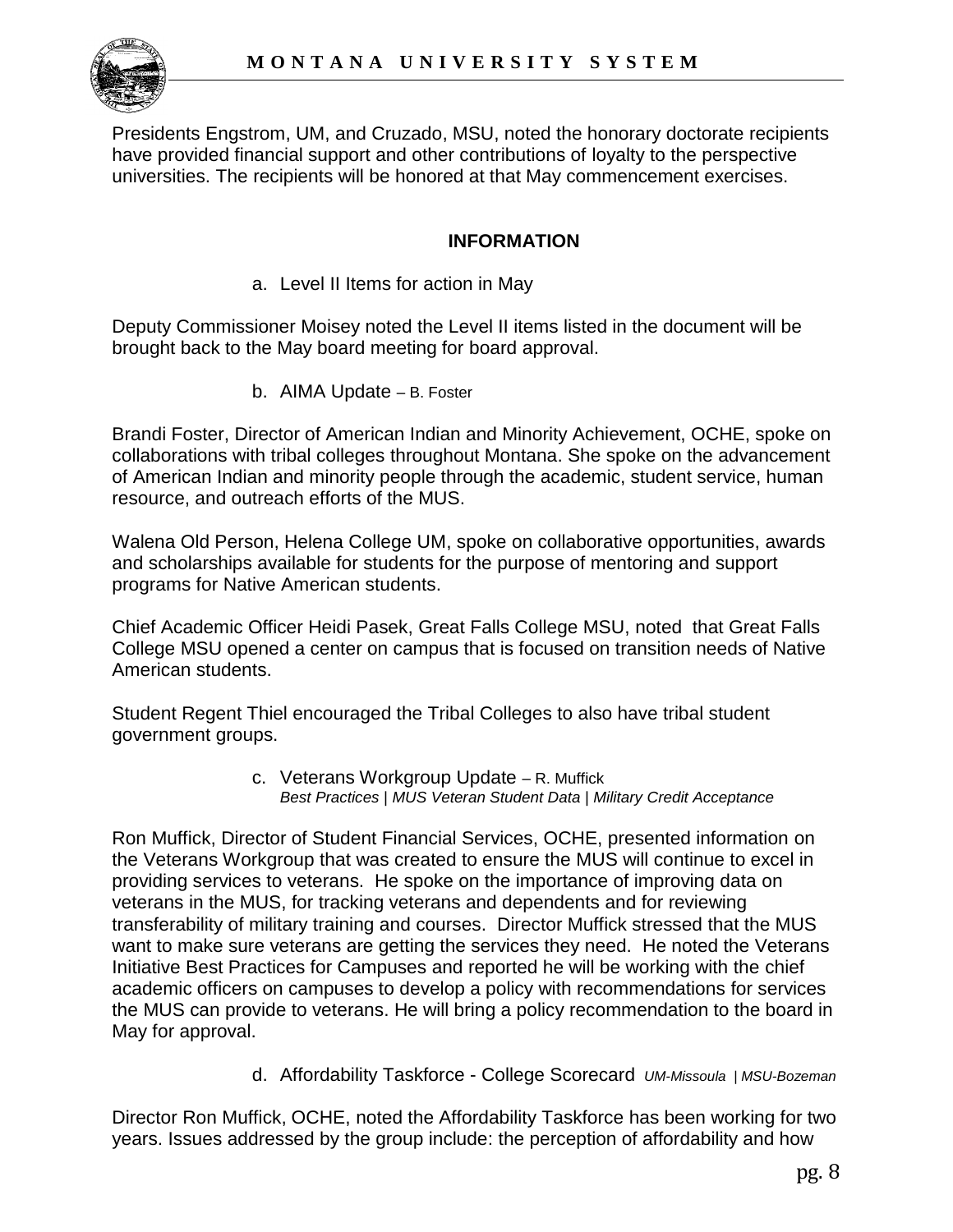

Presidents Engstrom, UM, and Cruzado, MSU, noted the honorary doctorate recipients have provided financial support and other contributions of loyalty to the perspective universities. The recipients will be honored at that May commencement exercises.

## **INFORMATION**

a. Level II Items for action in May

Deputy Commissioner Moisey noted the Level II items listed in the document will be brought back to the May board meeting for board approval.

b. AIMA Update – B. Foster

Brandi Foster, Director of American Indian and Minority Achievement, OCHE, spoke on collaborations with tribal colleges throughout Montana. She spoke on the advancement of American Indian and minority people through the academic, student service, human resource, and outreach efforts of the MUS.

Walena Old Person, Helena College UM, spoke on collaborative opportunities, awards and scholarships available for students for the purpose of mentoring and support programs for Native American students.

Chief Academic Officer Heidi Pasek, Great Falls College MSU, noted that Great Falls College MSU opened a center on campus that is focused on transition needs of Native American students.

Student Regent Thiel encouraged the Tribal Colleges to also have tribal student government groups.

> c. Veterans Workgroup Update – R. Muffick *Best Practices | MUS Veteran Student Data | Military Credit Acceptance*

Ron Muffick, Director of Student Financial Services, OCHE, presented information on the Veterans Workgroup that was created to ensure the MUS will continue to excel in providing services to veterans. He spoke on the importance of improving data on veterans in the MUS, for tracking veterans and dependents and for reviewing transferability of military training and courses. Director Muffick stressed that the MUS want to make sure veterans are getting the services they need. He noted the Veterans Initiative Best Practices for Campuses and reported he will be working with the chief academic officers on campuses to develop a policy with recommendations for services the MUS can provide to veterans. He will bring a policy recommendation to the board in May for approval.

d. Affordability Taskforce - College Scorecard *UM-Missoula | MSU-Bozeman*

Director Ron Muffick, OCHE, noted the Affordability Taskforce has been working for two years. Issues addressed by the group include: the perception of affordability and how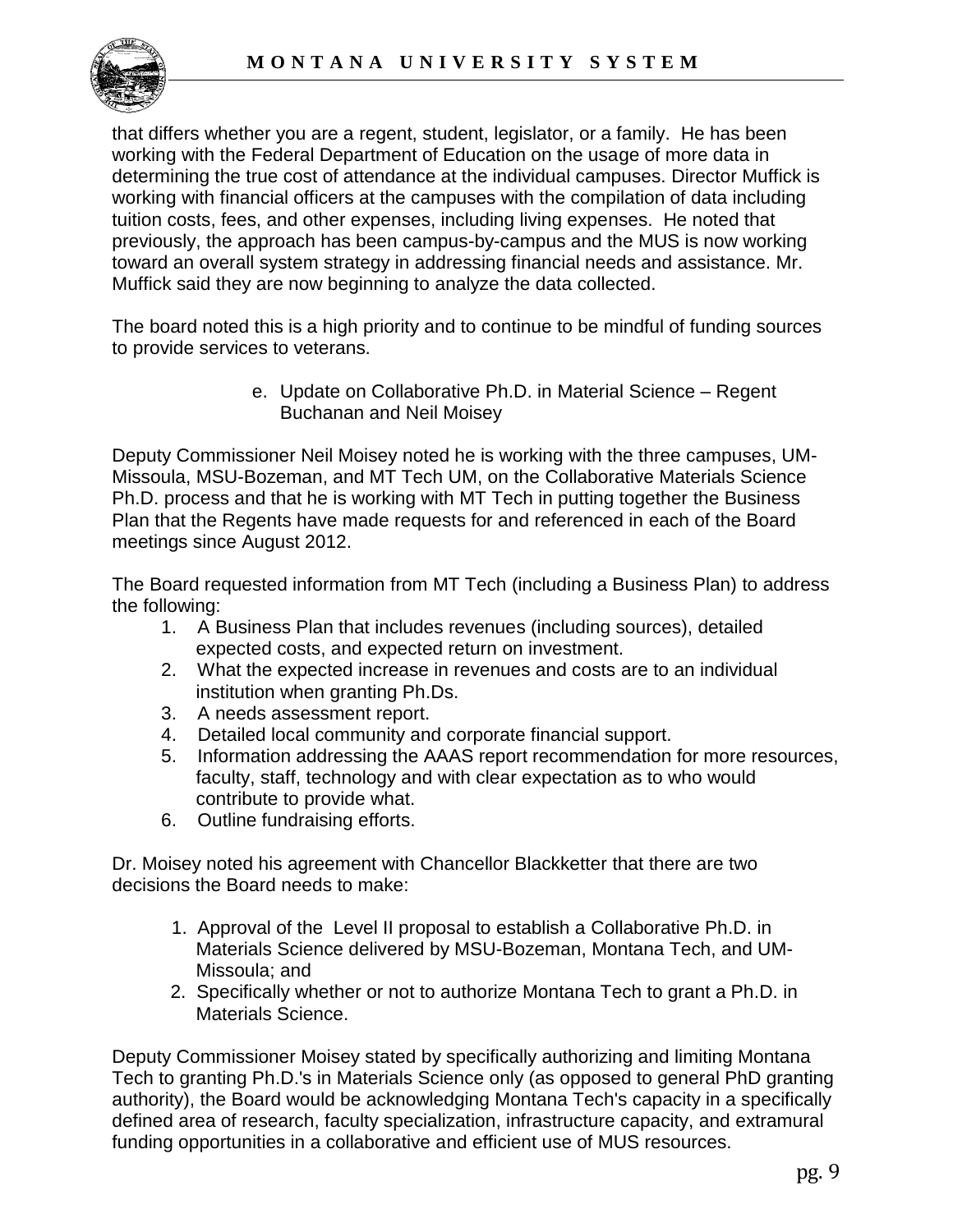

that differs whether you are a regent, student, legislator, or a family. He has been working with the Federal Department of Education on the usage of more data in determining the true cost of attendance at the individual campuses. Director Muffick is working with financial officers at the campuses with the compilation of data including tuition costs, fees, and other expenses, including living expenses. He noted that previously, the approach has been campus-by-campus and the MUS is now working toward an overall system strategy in addressing financial needs and assistance. Mr. Muffick said they are now beginning to analyze the data collected.

The board noted this is a high priority and to continue to be mindful of funding sources to provide services to veterans.

> e. Update on Collaborative Ph.D. in Material Science – Regent Buchanan and Neil Moisey

Deputy Commissioner Neil Moisey noted he is working with the three campuses, UM-Missoula, MSU-Bozeman, and MT Tech UM, on the Collaborative Materials Science Ph.D. process and that he is working with MT Tech in putting together the Business Plan that the Regents have made requests for and referenced in each of the Board meetings since August 2012.

The Board requested information from MT Tech (including a Business Plan) to address the following:

- 1. A Business Plan that includes revenues (including sources), detailed expected costs, and expected return on investment.
- 2. What the expected increase in revenues and costs are to an individual institution when granting Ph.Ds.
- 3. A needs assessment report.
- 4. Detailed local community and corporate financial support.
- 5. Information addressing the AAAS report recommendation for more resources, faculty, staff, technology and with clear expectation as to who would contribute to provide what.
- 6. Outline fundraising efforts.

Dr. Moisey noted his agreement with Chancellor Blackketter that there are two decisions the Board needs to make:

- 1. Approval of the Level II proposal to establish a Collaborative Ph.D. in Materials Science delivered by MSU-Bozeman, Montana Tech, and UM-Missoula; and
- 2. Specifically whether or not to authorize Montana Tech to grant a Ph.D. in Materials Science.

Deputy Commissioner Moisey stated by specifically authorizing and limiting Montana Tech to granting Ph.D.'s in Materials Science only (as opposed to general PhD granting authority), the Board would be acknowledging Montana Tech's capacity in a specifically defined area of research, faculty specialization, infrastructure capacity, and extramural funding opportunities in a collaborative and efficient use of MUS resources.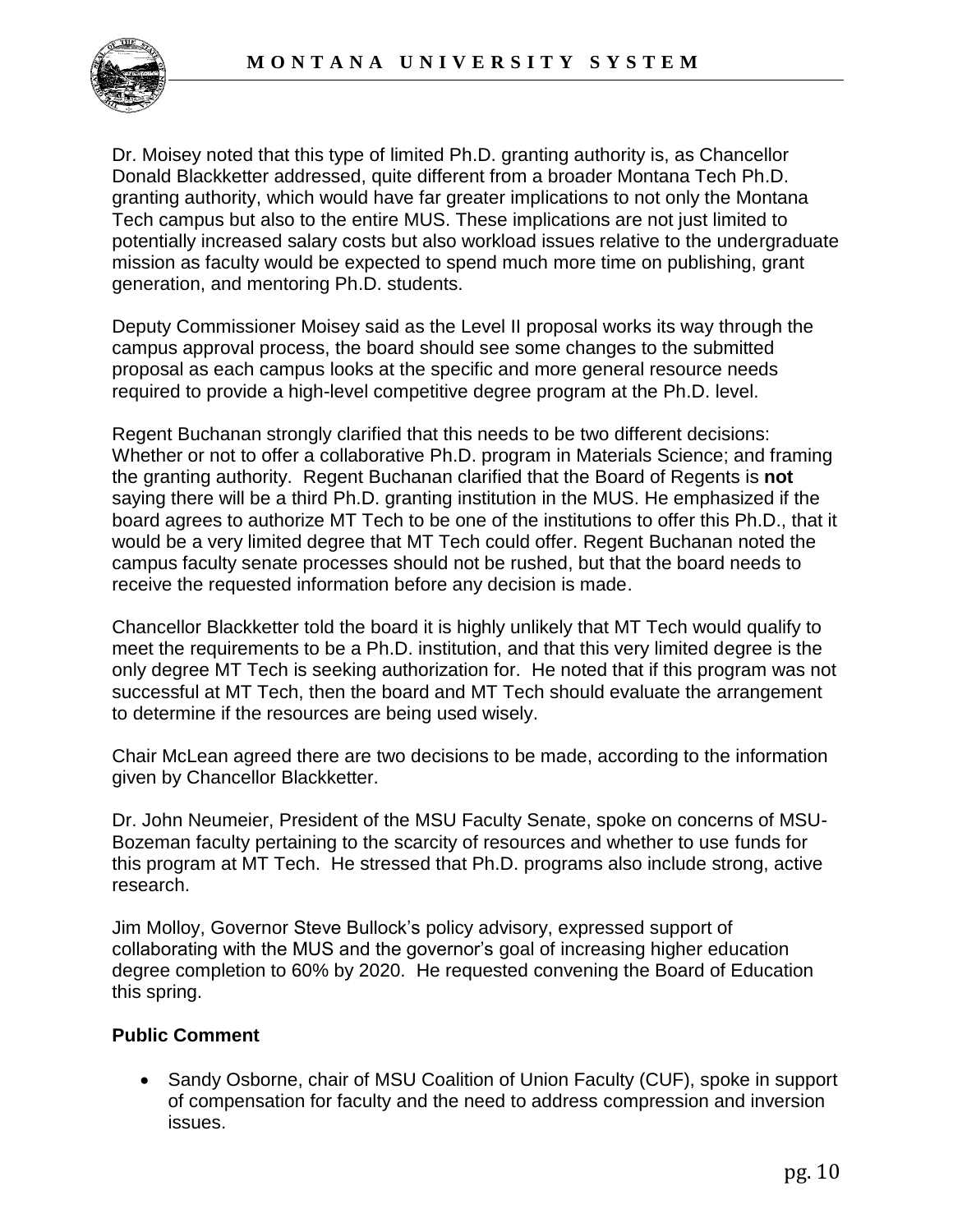

Dr. Moisey noted that this type of limited Ph.D. granting authority is, as Chancellor Donald Blackketter addressed, quite different from a broader Montana Tech Ph.D. granting authority, which would have far greater implications to not only the Montana Tech campus but also to the entire MUS. These implications are not just limited to potentially increased salary costs but also workload issues relative to the undergraduate mission as faculty would be expected to spend much more time on publishing, grant generation, and mentoring Ph.D. students.

Deputy Commissioner Moisey said as the Level II proposal works its way through the campus approval process, the board should see some changes to the submitted proposal as each campus looks at the specific and more general resource needs required to provide a high-level competitive degree program at the Ph.D. level.

Regent Buchanan strongly clarified that this needs to be two different decisions: Whether or not to offer a collaborative Ph.D. program in Materials Science; and framing the granting authority. Regent Buchanan clarified that the Board of Regents is **not** saying there will be a third Ph.D. granting institution in the MUS. He emphasized if the board agrees to authorize MT Tech to be one of the institutions to offer this Ph.D., that it would be a very limited degree that MT Tech could offer. Regent Buchanan noted the campus faculty senate processes should not be rushed, but that the board needs to receive the requested information before any decision is made.

Chancellor Blackketter told the board it is highly unlikely that MT Tech would qualify to meet the requirements to be a Ph.D. institution, and that this very limited degree is the only degree MT Tech is seeking authorization for. He noted that if this program was not successful at MT Tech, then the board and MT Tech should evaluate the arrangement to determine if the resources are being used wisely.

Chair McLean agreed there are two decisions to be made, according to the information given by Chancellor Blackketter.

Dr. John Neumeier, President of the MSU Faculty Senate, spoke on concerns of MSU-Bozeman faculty pertaining to the scarcity of resources and whether to use funds for this program at MT Tech. He stressed that Ph.D. programs also include strong, active research.

Jim Molloy, Governor Steve Bullock's policy advisory, expressed support of collaborating with the MUS and the governor's goal of increasing higher education degree completion to 60% by 2020. He requested convening the Board of Education this spring.

# **Public Comment**

• Sandy Osborne, chair of MSU Coalition of Union Faculty (CUF), spoke in support of compensation for faculty and the need to address compression and inversion issues.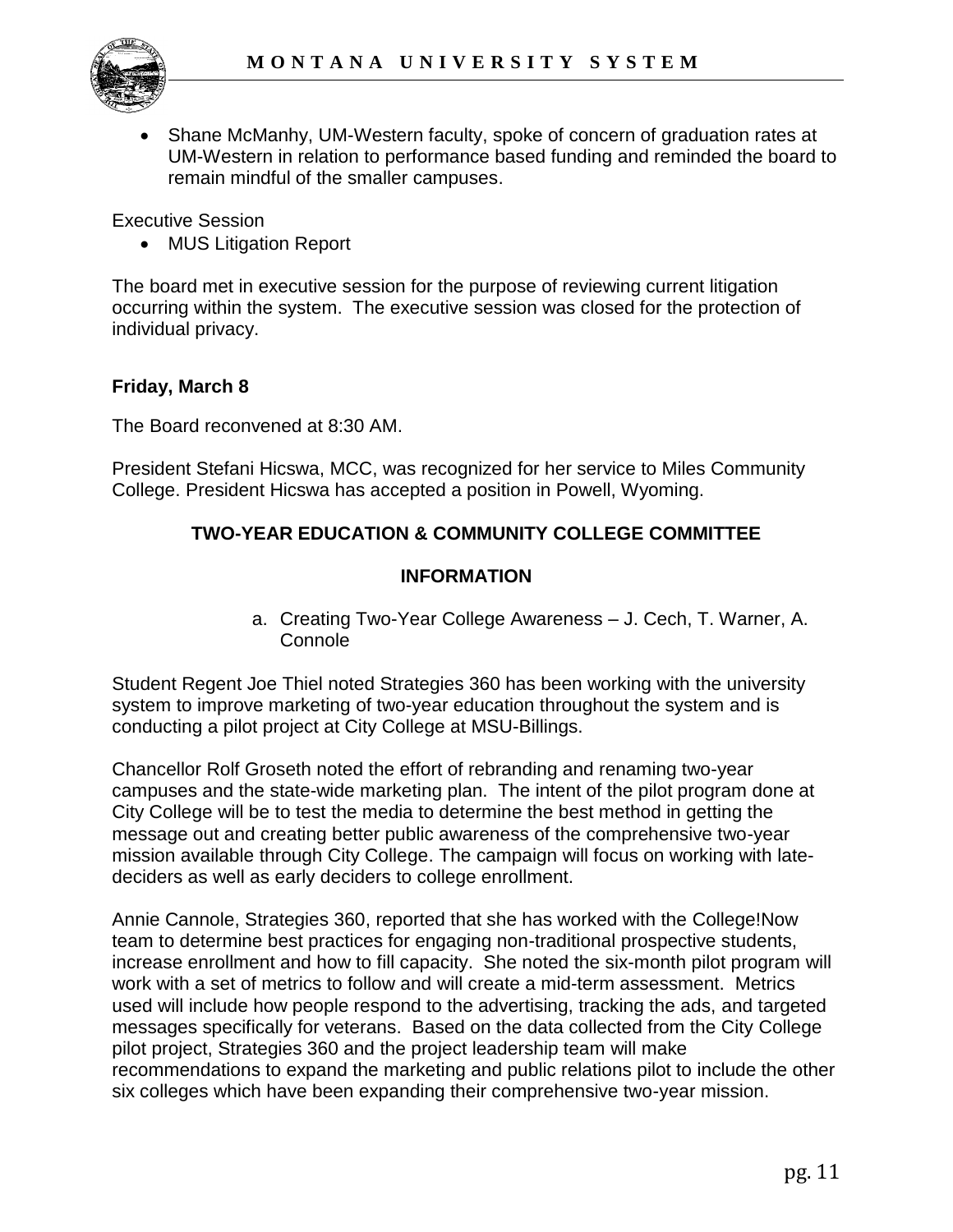

 Shane McManhy, UM-Western faculty, spoke of concern of graduation rates at UM-Western in relation to performance based funding and reminded the board to remain mindful of the smaller campuses.

Executive Session

MUS Litigation Report

The board met in executive session for the purpose of reviewing current litigation occurring within the system. The executive session was closed for the protection of individual privacy.

## **Friday, March 8**

The Board reconvened at 8:30 AM.

President Stefani Hicswa, MCC, was recognized for her service to Miles Community College. President Hicswa has accepted a position in Powell, Wyoming.

# **TWO-YEAR EDUCATION & COMMUNITY COLLEGE COMMITTEE**

#### **INFORMATION**

a. Creating Two-Year College Awareness – J. Cech, T. Warner, A. **Connole** 

Student Regent Joe Thiel noted Strategies 360 has been working with the university system to improve marketing of two-year education throughout the system and is conducting a pilot project at City College at MSU-Billings.

Chancellor Rolf Groseth noted the effort of rebranding and renaming two-year campuses and the state-wide marketing plan. The intent of the pilot program done at City College will be to test the media to determine the best method in getting the message out and creating better public awareness of the comprehensive two-year mission available through City College. The campaign will focus on working with latedeciders as well as early deciders to college enrollment.

Annie Cannole, Strategies 360, reported that she has worked with the College!Now team to determine best practices for engaging non-traditional prospective students, increase enrollment and how to fill capacity. She noted the six-month pilot program will work with a set of metrics to follow and will create a mid-term assessment. Metrics used will include how people respond to the advertising, tracking the ads, and targeted messages specifically for veterans. Based on the data collected from the City College pilot project, Strategies 360 and the project leadership team will make recommendations to expand the marketing and public relations pilot to include the other six colleges which have been expanding their comprehensive two-year mission.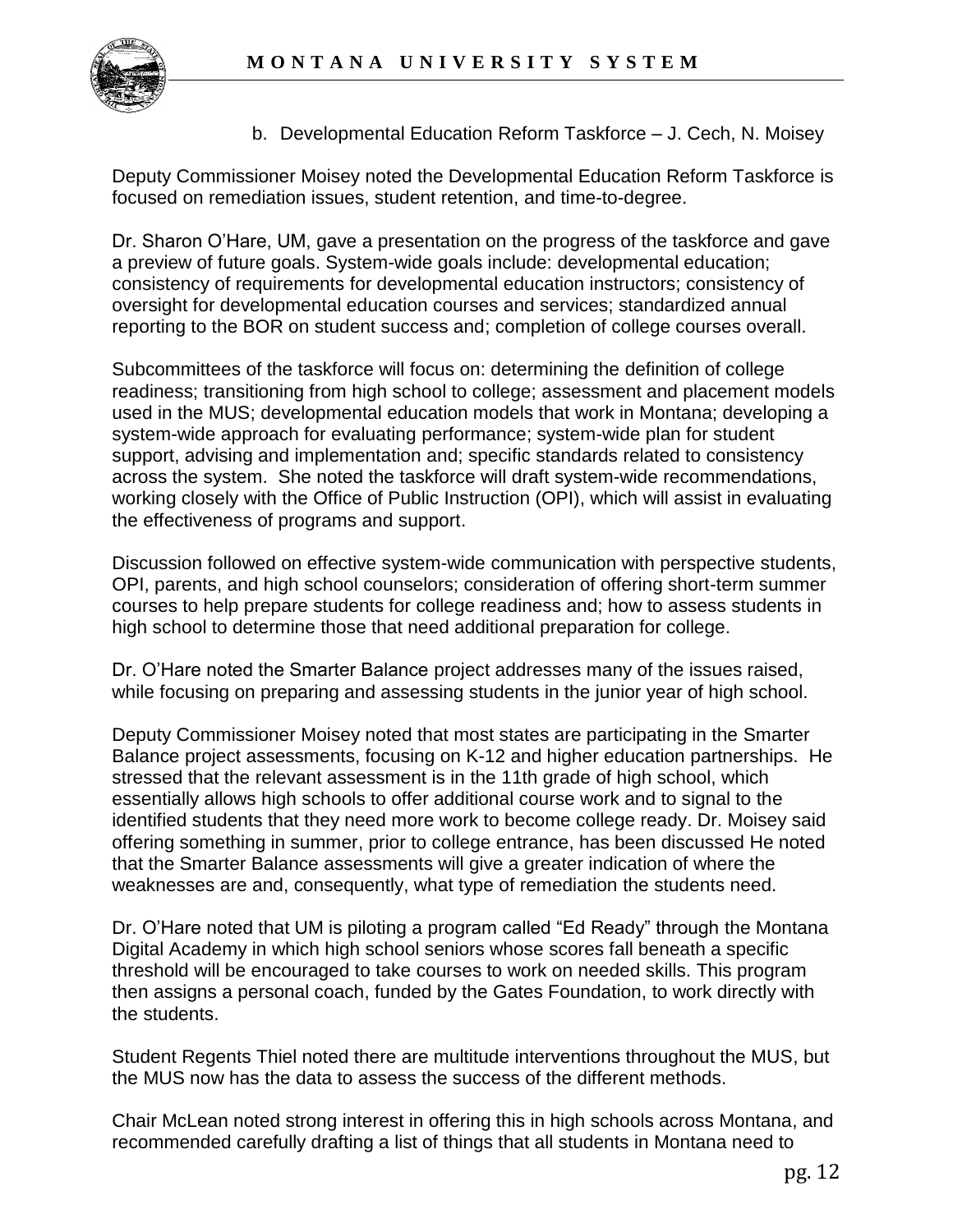

b. Developmental Education Reform Taskforce – J. Cech, N. Moisey

Deputy Commissioner Moisey noted the Developmental Education Reform Taskforce is focused on remediation issues, student retention, and time-to-degree.

Dr. Sharon O'Hare, UM, gave a presentation on the progress of the taskforce and gave a preview of future goals. System-wide goals include: developmental education; consistency of requirements for developmental education instructors; consistency of oversight for developmental education courses and services; standardized annual reporting to the BOR on student success and; completion of college courses overall.

Subcommittees of the taskforce will focus on: determining the definition of college readiness; transitioning from high school to college; assessment and placement models used in the MUS; developmental education models that work in Montana; developing a system-wide approach for evaluating performance; system-wide plan for student support, advising and implementation and; specific standards related to consistency across the system. She noted the taskforce will draft system-wide recommendations, working closely with the Office of Public Instruction (OPI), which will assist in evaluating the effectiveness of programs and support.

Discussion followed on effective system-wide communication with perspective students, OPI, parents, and high school counselors; consideration of offering short-term summer courses to help prepare students for college readiness and; how to assess students in high school to determine those that need additional preparation for college.

Dr. O'Hare noted the Smarter Balance project addresses many of the issues raised, while focusing on preparing and assessing students in the junior year of high school.

Deputy Commissioner Moisey noted that most states are participating in the Smarter Balance project assessments, focusing on K-12 and higher education partnerships. He stressed that the relevant assessment is in the 11th grade of high school, which essentially allows high schools to offer additional course work and to signal to the identified students that they need more work to become college ready. Dr. Moisey said offering something in summer, prior to college entrance, has been discussed He noted that the Smarter Balance assessments will give a greater indication of where the weaknesses are and, consequently, what type of remediation the students need.

Dr. O'Hare noted that UM is piloting a program called "Ed Ready" through the Montana Digital Academy in which high school seniors whose scores fall beneath a specific threshold will be encouraged to take courses to work on needed skills. This program then assigns a personal coach, funded by the Gates Foundation, to work directly with the students.

Student Regents Thiel noted there are multitude interventions throughout the MUS, but the MUS now has the data to assess the success of the different methods.

Chair McLean noted strong interest in offering this in high schools across Montana, and recommended carefully drafting a list of things that all students in Montana need to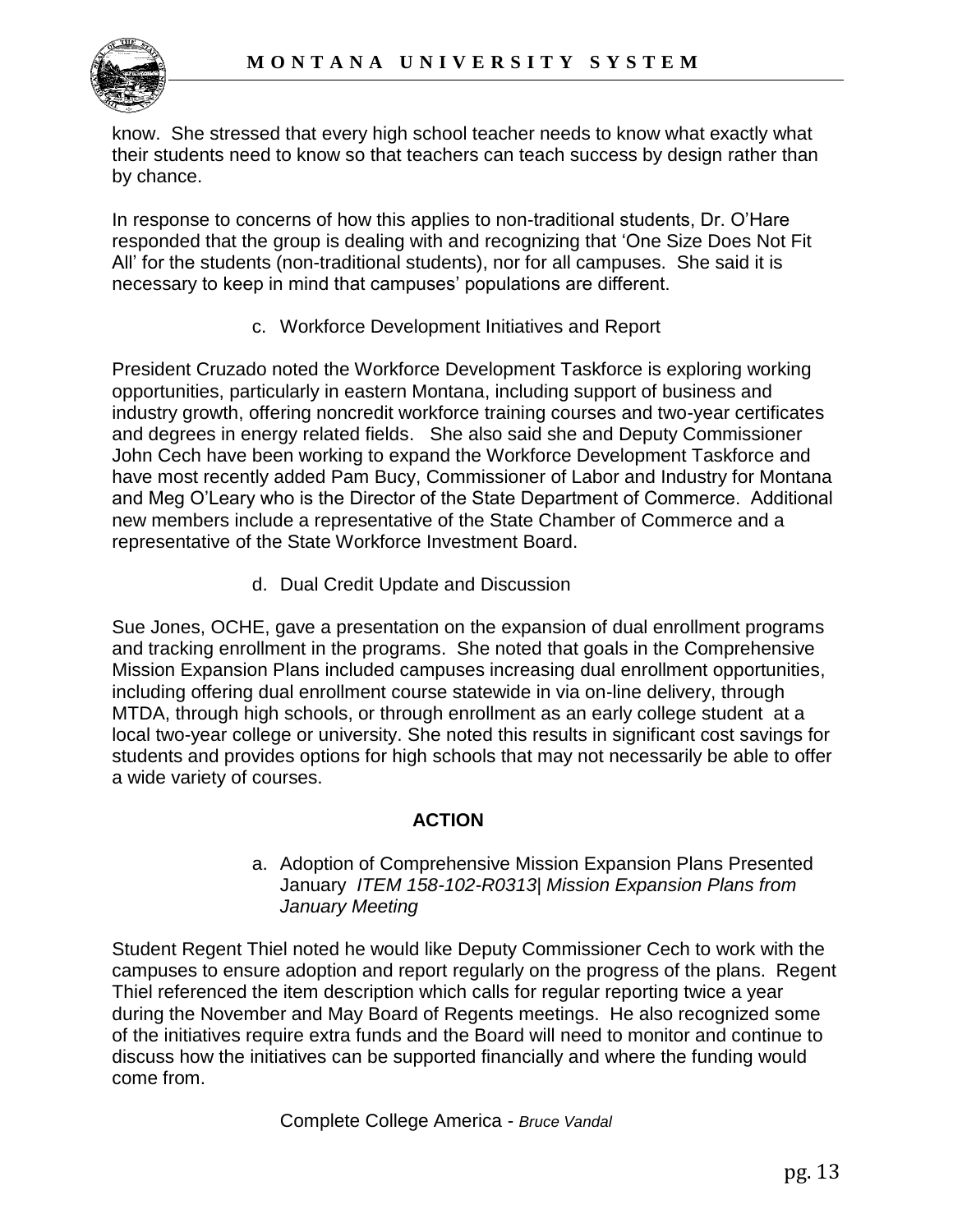

know. She stressed that every high school teacher needs to know what exactly what their students need to know so that teachers can teach success by design rather than by chance.

In response to concerns of how this applies to non-traditional students, Dr. O'Hare responded that the group is dealing with and recognizing that 'One Size Does Not Fit All' for the students (non-traditional students), nor for all campuses. She said it is necessary to keep in mind that campuses' populations are different.

c. Workforce Development Initiatives and Report

President Cruzado noted the Workforce Development Taskforce is exploring working opportunities, particularly in eastern Montana, including support of business and industry growth, offering noncredit workforce training courses and two-year certificates and degrees in energy related fields. She also said she and Deputy Commissioner John Cech have been working to expand the Workforce Development Taskforce and have most recently added Pam Bucy, Commissioner of Labor and Industry for Montana and Meg O'Leary who is the Director of the State Department of Commerce. Additional new members include a representative of the State Chamber of Commerce and a representative of the State Workforce Investment Board.

d. Dual Credit Update and Discussion

Sue Jones, OCHE, gave a presentation on the expansion of dual enrollment programs and tracking enrollment in the programs. She noted that goals in the Comprehensive Mission Expansion Plans included campuses increasing dual enrollment opportunities, including offering dual enrollment course statewide in via on-line delivery, through MTDA, through high schools, or through enrollment as an early college student at a local two-year college or university. She noted this results in significant cost savings for students and provides options for high schools that may not necessarily be able to offer a wide variety of courses.

# **ACTION**

#### a. Adoption of Comprehensive Mission Expansion Plans Presented January *ITEM 158-102-R0313| Mission Expansion Plans from January Meeting*

Student Regent Thiel noted he would like Deputy Commissioner Cech to work with the campuses to ensure adoption and report regularly on the progress of the plans. Regent Thiel referenced the item description which calls for regular reporting twice a year during the November and May Board of Regents meetings. He also recognized some of the initiatives require extra funds and the Board will need to monitor and continue to discuss how the initiatives can be supported financially and where the funding would come from.

Complete College America - *Bruce Vandal*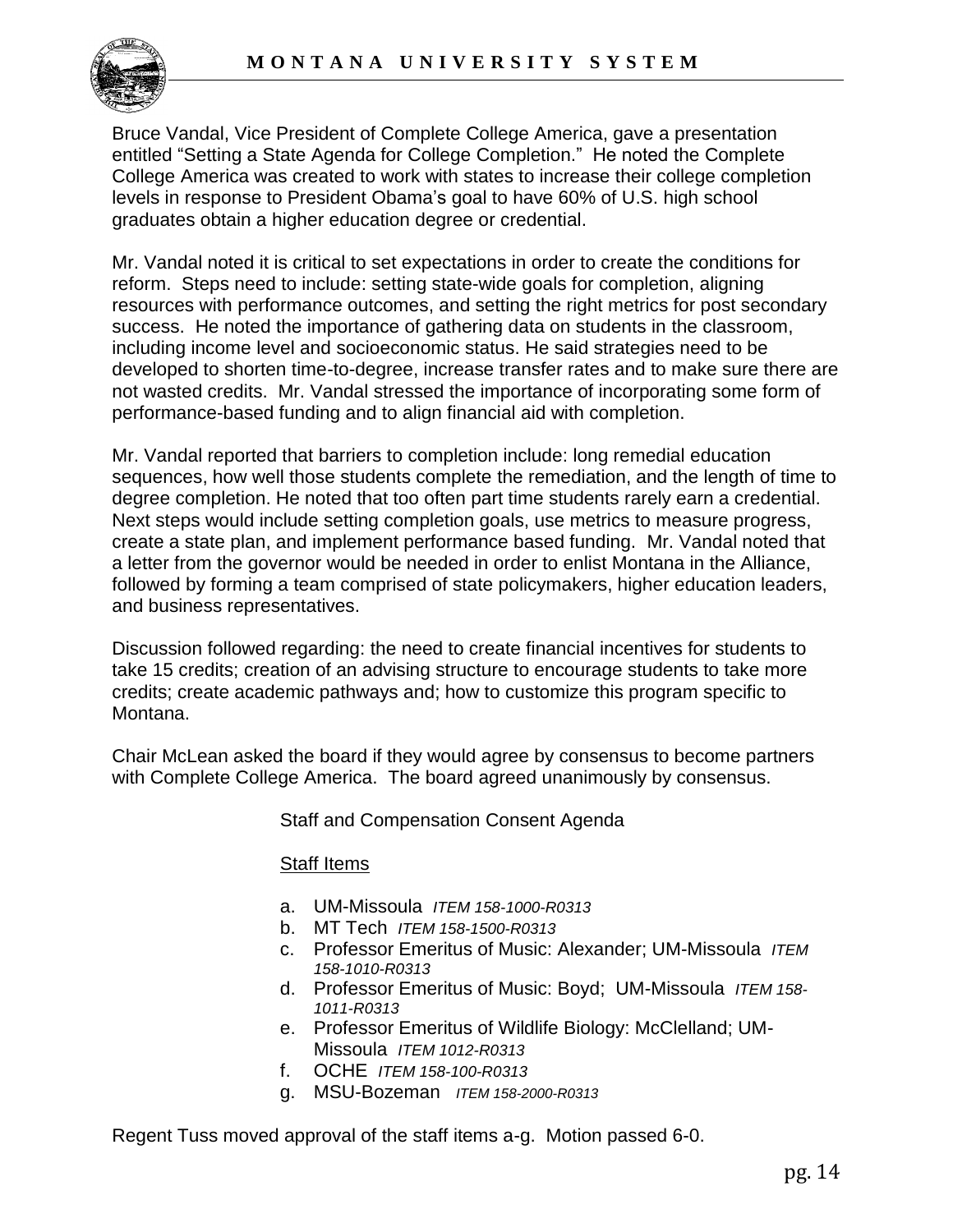

Bruce Vandal, Vice President of Complete College America, gave a presentation entitled "Setting a State Agenda for College Completion." He noted the Complete College America was created to work with states to increase their college completion levels in response to President Obama's goal to have 60% of U.S. high school graduates obtain a higher education degree or credential.

Mr. Vandal noted it is critical to set expectations in order to create the conditions for reform. Steps need to include: setting state-wide goals for completion, aligning resources with performance outcomes, and setting the right metrics for post secondary success. He noted the importance of gathering data on students in the classroom, including income level and socioeconomic status. He said strategies need to be developed to shorten time-to-degree, increase transfer rates and to make sure there are not wasted credits. Mr. Vandal stressed the importance of incorporating some form of performance-based funding and to align financial aid with completion.

Mr. Vandal reported that barriers to completion include: long remedial education sequences, how well those students complete the remediation, and the length of time to degree completion. He noted that too often part time students rarely earn a credential. Next steps would include setting completion goals, use metrics to measure progress, create a state plan, and implement performance based funding. Mr. Vandal noted that a letter from the governor would be needed in order to enlist Montana in the Alliance, followed by forming a team comprised of state policymakers, higher education leaders, and business representatives.

Discussion followed regarding: the need to create financial incentives for students to take 15 credits; creation of an advising structure to encourage students to take more credits; create academic pathways and; how to customize this program specific to Montana.

Chair McLean asked the board if they would agree by consensus to become partners with Complete College America. The board agreed unanimously by consensus.

Staff and Compensation Consent Agenda

#### Staff Items

- a. UM-Missoula *ITEM 158-1000-R0313*
- b. MT Tech *ITEM 158-1500-R0313*
- c. Professor Emeritus of Music: Alexander; UM-Missoula *ITEM 158-1010-R0313*
- d. Professor Emeritus of Music: Boyd; UM-Missoula *ITEM 158- 1011-R0313*
- e. Professor Emeritus of Wildlife Biology: McClelland; UM-Missoula *ITEM 1012-R0313*
- f. OCHE *ITEM 158-100-R0313*
- g. MSU-Bozeman *ITEM 158-2000-R0313*

Regent Tuss moved approval of the staff items a-g. Motion passed 6-0.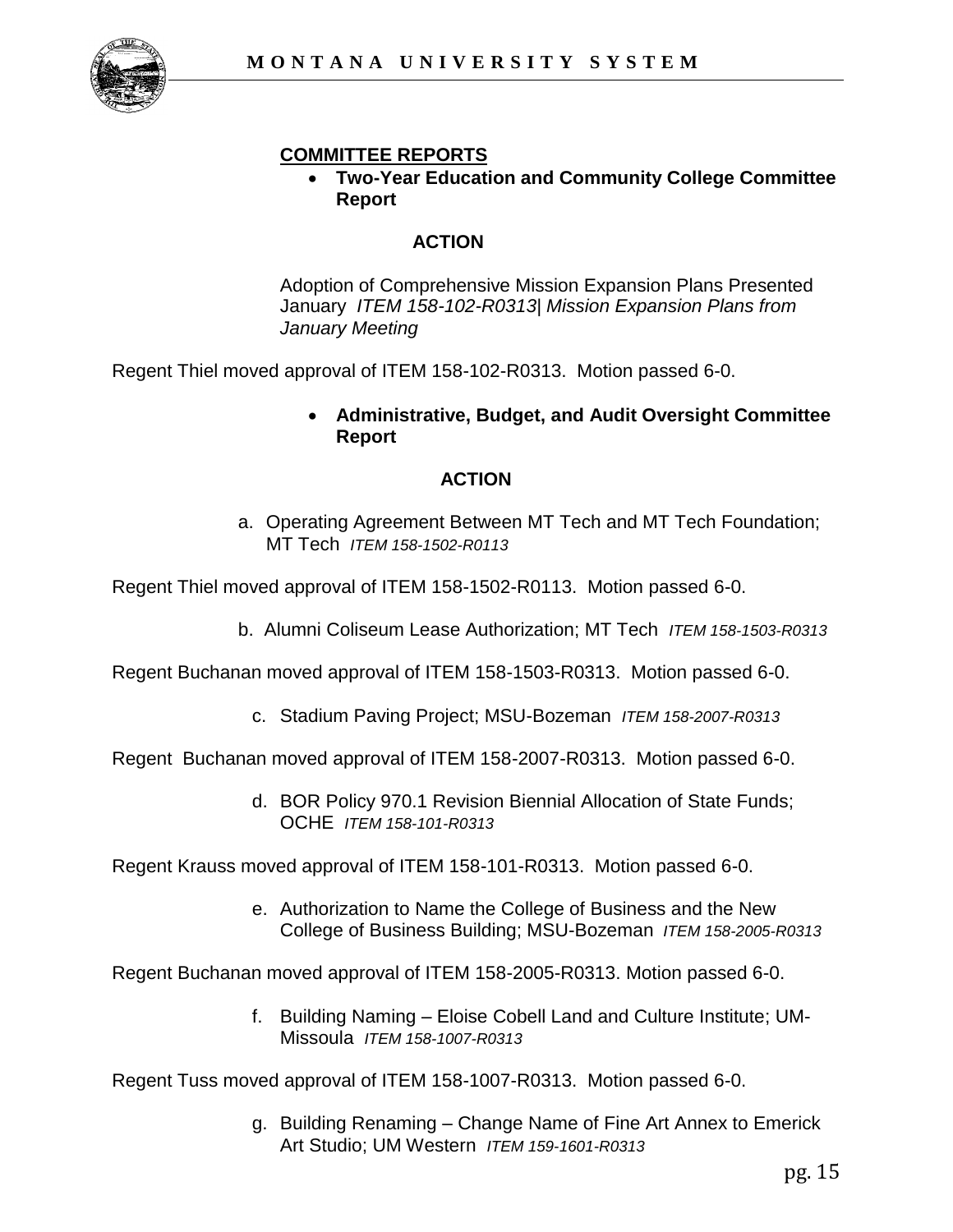

# **COMMITTEE REPORTS**

 **Two-Year Education and Community College Committee Report**

# **ACTION**

Adoption of Comprehensive Mission Expansion Plans Presented January *ITEM 158-102-R0313| Mission Expansion Plans from January Meeting*

Regent Thiel moved approval of ITEM 158-102-R0313. Motion passed 6-0.

 **Administrative, Budget, and Audit Oversight Committee Report**

## **ACTION**

a. Operating Agreement Between MT Tech and MT Tech Foundation; MT Tech *ITEM 158-1502-R0113* 

Regent Thiel moved approval of ITEM 158-1502-R0113. Motion passed 6-0.

b. Alumni Coliseum Lease Authorization; MT Tech *ITEM 158-1503-R0313* 

Regent Buchanan moved approval of ITEM 158-1503-R0313. Motion passed 6-0.

c. Stadium Paving Project; MSU-Bozeman *ITEM 158-2007-R0313* 

Regent Buchanan moved approval of ITEM 158-2007-R0313. Motion passed 6-0.

d. BOR Policy 970.1 Revision Biennial Allocation of State Funds; OCHE *ITEM 158-101-R0313*

Regent Krauss moved approval of ITEM 158-101-R0313. Motion passed 6-0.

e. Authorization to Name the College of Business and the New College of Business Building; MSU-Bozeman *ITEM 158-2005-R0313* 

Regent Buchanan moved approval of ITEM 158-2005-R0313. Motion passed 6-0.

f. Building Naming – Eloise Cobell Land and Culture Institute; UM-Missoula *ITEM 158-1007-R0313*

Regent Tuss moved approval of ITEM 158-1007-R0313. Motion passed 6-0.

g. Building Renaming – Change Name of Fine Art Annex to Emerick Art Studio; UM Western *ITEM 159-1601-R0313*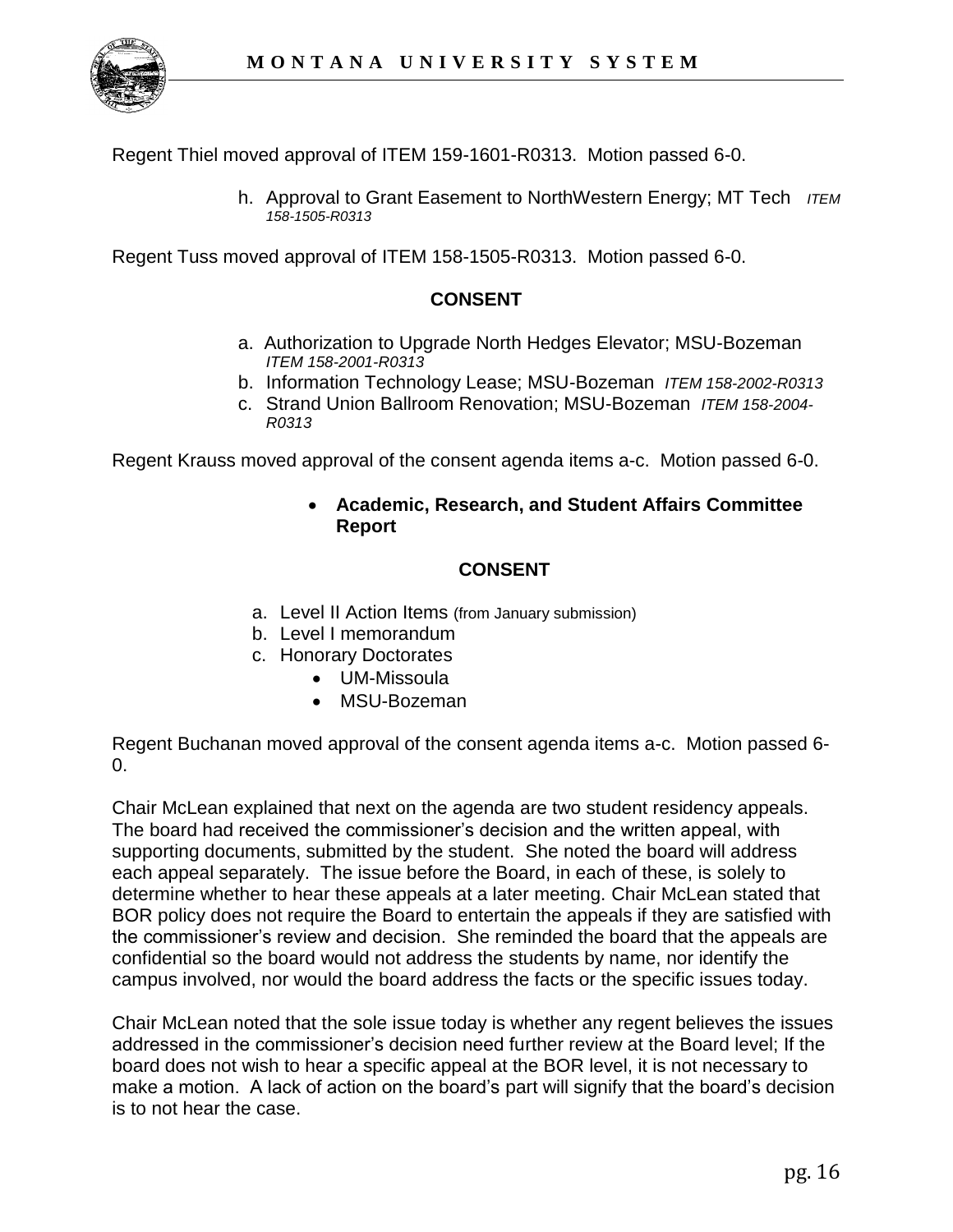

Regent Thiel moved approval of ITEM 159-1601-R0313. Motion passed 6-0.

h. Approval to Grant Easement to NorthWestern Energy; MT Tech *ITEM 158-1505-R0313* 

Regent Tuss moved approval of ITEM 158-1505-R0313. Motion passed 6-0.

## **CONSENT**

- a. Authorization to Upgrade North Hedges Elevator; MSU-Bozeman *ITEM 158-2001-R0313*
- b. Information Technology Lease; MSU-Bozeman *ITEM 158-2002-R0313*
- c. Strand Union Ballroom Renovation; MSU-Bozeman *ITEM 158-2004- R0313*

Regent Krauss moved approval of the consent agenda items a-c. Motion passed 6-0.

## **Academic, Research, and Student Affairs Committee Report**

# **CONSENT**

- a. Level II Action Items (from January submission)
- b. Level I memorandum
- c. Honorary Doctorates
	- UM-Missoula
	- MSU-Bozeman

Regent Buchanan moved approval of the consent agenda items a-c. Motion passed 6- 0.

Chair McLean explained that next on the agenda are two student residency appeals. The board had received the commissioner's decision and the written appeal, with supporting documents, submitted by the student. She noted the board will address each appeal separately. The issue before the Board, in each of these, is solely to determine whether to hear these appeals at a later meeting. Chair McLean stated that BOR policy does not require the Board to entertain the appeals if they are satisfied with the commissioner's review and decision. She reminded the board that the appeals are confidential so the board would not address the students by name, nor identify the campus involved, nor would the board address the facts or the specific issues today.

Chair McLean noted that the sole issue today is whether any regent believes the issues addressed in the commissioner's decision need further review at the Board level; If the board does not wish to hear a specific appeal at the BOR level, it is not necessary to make a motion. A lack of action on the board's part will signify that the board's decision is to not hear the case.